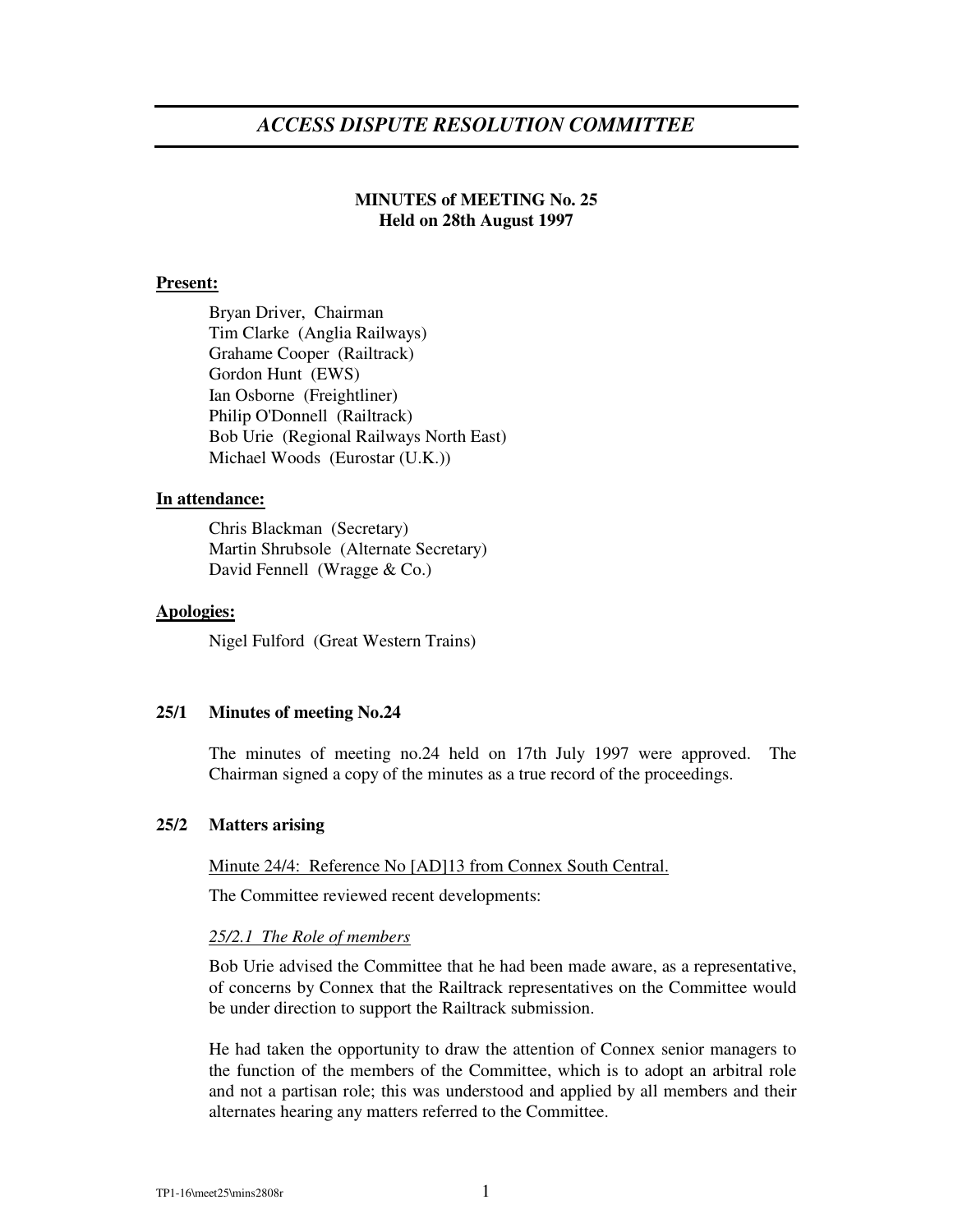# *ACCESS DISPUTE RESOLUTION COMMITTEE*

# **MINUTES of MEETING No. 25 Held on 28th August 1997**

# **Present:**

Bryan Driver, Chairman Tim Clarke (Anglia Railways) Grahame Cooper (Railtrack) Gordon Hunt (EWS) Ian Osborne (Freightliner) Philip O'Donnell (Railtrack) Bob Urie (Regional Railways North East) Michael Woods (Eurostar (U.K.))

#### **In attendance:**

Chris Blackman (Secretary) Martin Shrubsole (Alternate Secretary) David Fennell (Wragge & Co.)

#### **Apologies:**

Nigel Fulford (Great Western Trains)

# **25/1 Minutes of meeting No.24**

The minutes of meeting no.24 held on 17th July 1997 were approved. The Chairman signed a copy of the minutes as a true record of the proceedings.

#### **25/2 Matters arising**

Minute 24/4: Reference No [AD]13 from Connex South Central.

The Committee reviewed recent developments:

#### *25/2.1 The Role of members*

Bob Urie advised the Committee that he had been made aware, as a representative, of concerns by Connex that the Railtrack representatives on the Committee would be under direction to support the Railtrack submission.

He had taken the opportunity to draw the attention of Connex senior managers to the function of the members of the Committee, which is to adopt an arbitral role and not a partisan role; this was understood and applied by all members and their alternates hearing any matters referred to the Committee.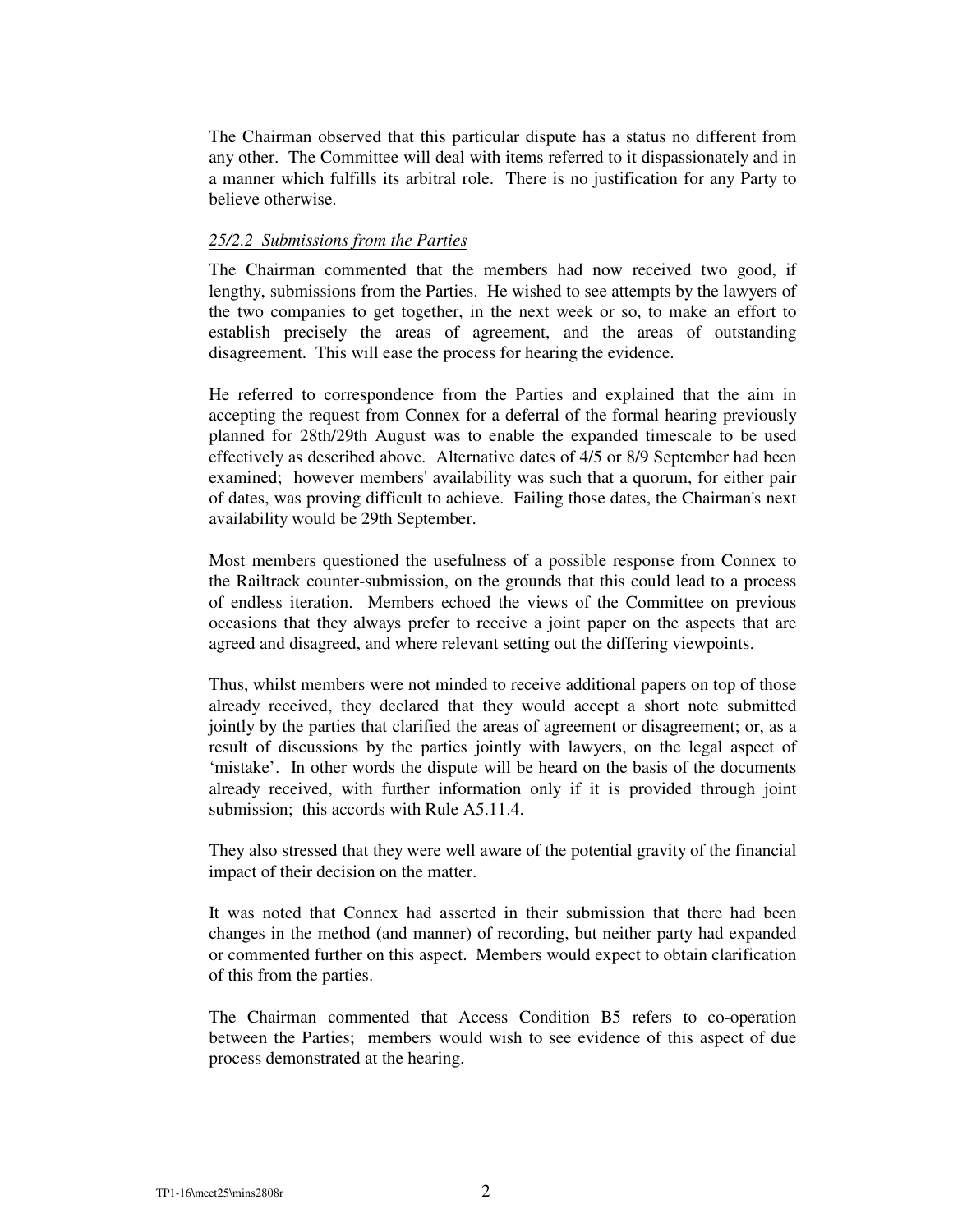The Chairman observed that this particular dispute has a status no different from any other. The Committee will deal with items referred to it dispassionately and in a manner which fulfills its arbitral role. There is no justification for any Party to believe otherwise.

### *25/2.2 Submissions from the Parties*

The Chairman commented that the members had now received two good, if lengthy, submissions from the Parties. He wished to see attempts by the lawyers of the two companies to get together, in the next week or so, to make an effort to establish precisely the areas of agreement, and the areas of outstanding disagreement. This will ease the process for hearing the evidence.

He referred to correspondence from the Parties and explained that the aim in accepting the request from Connex for a deferral of the formal hearing previously planned for 28th/29th August was to enable the expanded timescale to be used effectively as described above. Alternative dates of 4/5 or 8/9 September had been examined; however members' availability was such that a quorum, for either pair of dates, was proving difficult to achieve. Failing those dates, the Chairman's next availability would be 29th September.

Most members questioned the usefulness of a possible response from Connex to the Railtrack counter-submission, on the grounds that this could lead to a process of endless iteration. Members echoed the views of the Committee on previous occasions that they always prefer to receive a joint paper on the aspects that are agreed and disagreed, and where relevant setting out the differing viewpoints.

Thus, whilst members were not minded to receive additional papers on top of those already received, they declared that they would accept a short note submitted jointly by the parties that clarified the areas of agreement or disagreement; or, as a result of discussions by the parties jointly with lawyers, on the legal aspect of 'mistake'. In other words the dispute will be heard on the basis of the documents already received, with further information only if it is provided through joint submission; this accords with Rule A5.11.4.

They also stressed that they were well aware of the potential gravity of the financial impact of their decision on the matter.

It was noted that Connex had asserted in their submission that there had been changes in the method (and manner) of recording, but neither party had expanded or commented further on this aspect. Members would expect to obtain clarification of this from the parties.

The Chairman commented that Access Condition B5 refers to co-operation between the Parties; members would wish to see evidence of this aspect of due process demonstrated at the hearing.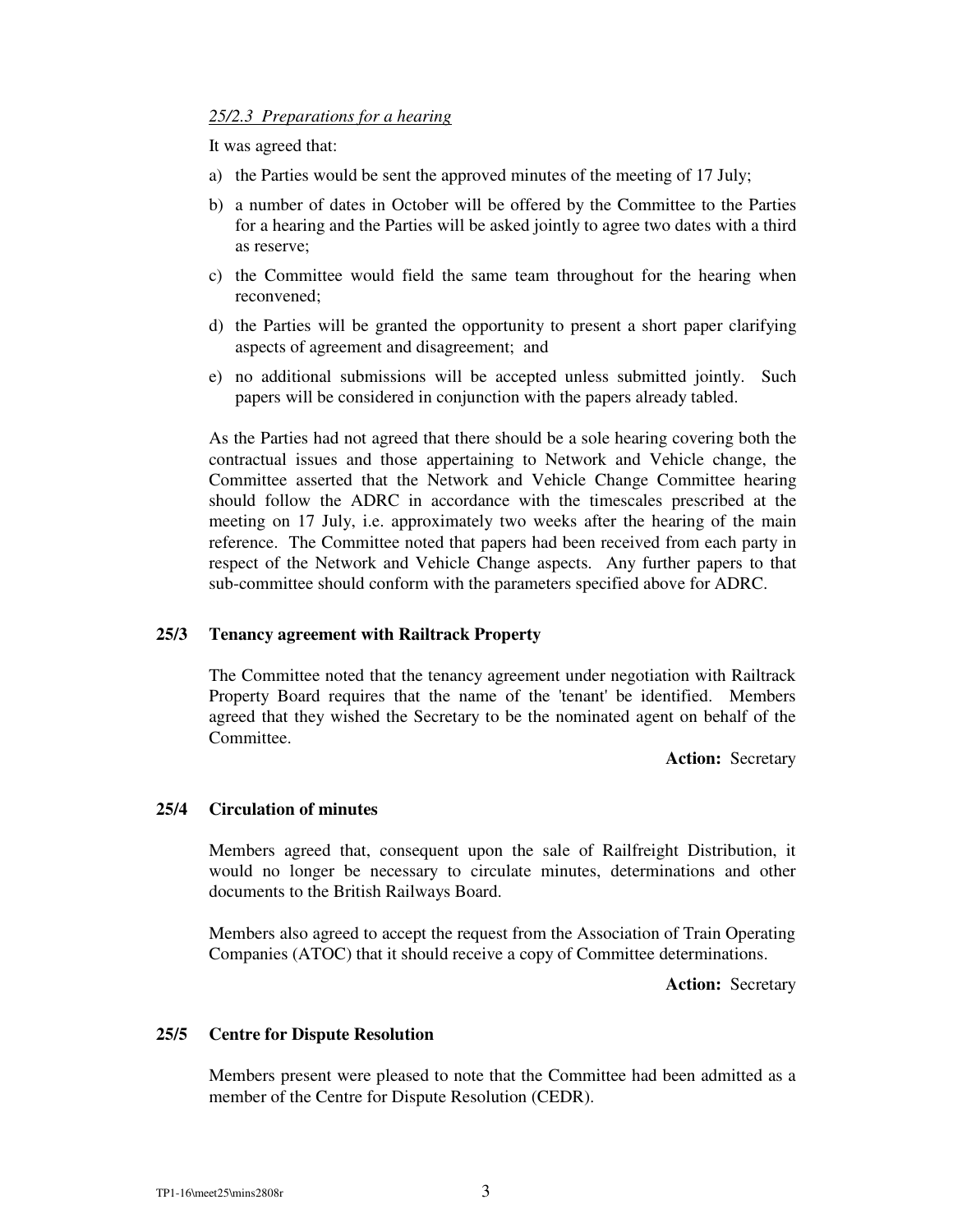# *25/2.3 Preparations for a hearing*

It was agreed that:

- a) the Parties would be sent the approved minutes of the meeting of 17 July;
- b) a number of dates in October will be offered by the Committee to the Parties for a hearing and the Parties will be asked jointly to agree two dates with a third as reserve;
- c) the Committee would field the same team throughout for the hearing when reconvened;
- d) the Parties will be granted the opportunity to present a short paper clarifying aspects of agreement and disagreement; and
- e) no additional submissions will be accepted unless submitted jointly. Such papers will be considered in conjunction with the papers already tabled.

As the Parties had not agreed that there should be a sole hearing covering both the contractual issues and those appertaining to Network and Vehicle change, the Committee asserted that the Network and Vehicle Change Committee hearing should follow the ADRC in accordance with the timescales prescribed at the meeting on 17 July, i.e. approximately two weeks after the hearing of the main reference. The Committee noted that papers had been received from each party in respect of the Network and Vehicle Change aspects. Any further papers to that sub-committee should conform with the parameters specified above for ADRC.

# **25/3 Tenancy agreement with Railtrack Property**

The Committee noted that the tenancy agreement under negotiation with Railtrack Property Board requires that the name of the 'tenant' be identified. Members agreed that they wished the Secretary to be the nominated agent on behalf of the Committee.

**Action:** Secretary

### **25/4 Circulation of minutes**

Members agreed that, consequent upon the sale of Railfreight Distribution, it would no longer be necessary to circulate minutes, determinations and other documents to the British Railways Board.

Members also agreed to accept the request from the Association of Train Operating Companies (ATOC) that it should receive a copy of Committee determinations.

**Action:** Secretary

### **25/5 Centre for Dispute Resolution**

Members present were pleased to note that the Committee had been admitted as a member of the Centre for Dispute Resolution (CEDR).